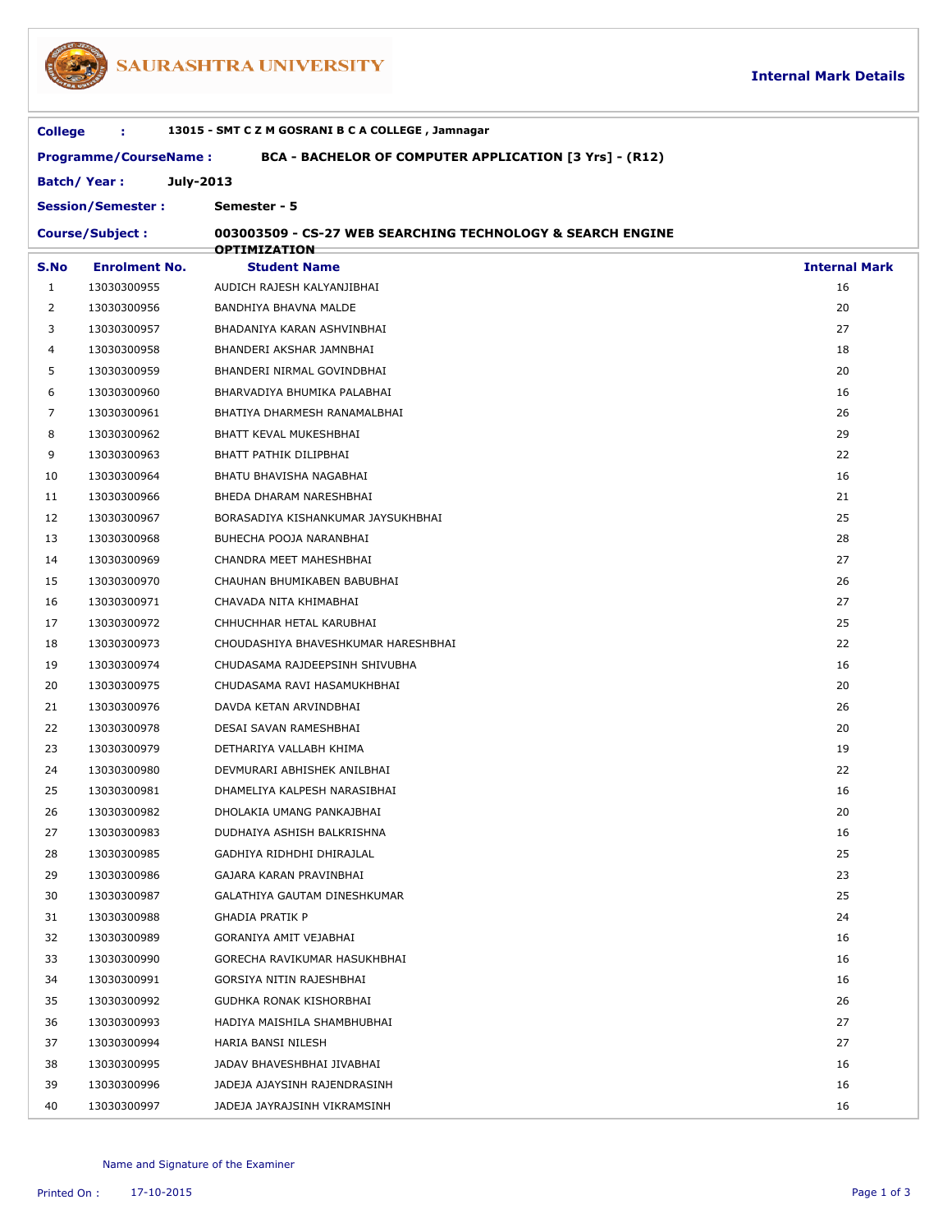

## SAURASHTRA UNIVERSITY

| <b>College</b>                                                                         | ÷.                         | 13015 - SMT C Z M GOSRANI B C A COLLEGE, Jamnagar          |                      |  |  |  |  |
|----------------------------------------------------------------------------------------|----------------------------|------------------------------------------------------------|----------------------|--|--|--|--|
| BCA - BACHELOR OF COMPUTER APPLICATION [3 Yrs] - (R12)<br><b>Programme/CourseName:</b> |                            |                                                            |                      |  |  |  |  |
| <b>Batch/Year:</b><br>July-2013                                                        |                            |                                                            |                      |  |  |  |  |
|                                                                                        | <b>Session/Semester:</b>   | Semester - 5                                               |                      |  |  |  |  |
|                                                                                        | <b>Course/Subject:</b>     | 003003509 - CS-27 WEB SEARCHING TECHNOLOGY & SEARCH ENGINE |                      |  |  |  |  |
|                                                                                        |                            | <b>OPTIMIZATION</b>                                        |                      |  |  |  |  |
| S.No                                                                                   | <b>Enrolment No.</b>       | <b>Student Name</b>                                        | <b>Internal Mark</b> |  |  |  |  |
| $\mathbf{1}$                                                                           | 13030300955                | AUDICH RAJESH KALYANJIBHAI                                 | 16                   |  |  |  |  |
| 2                                                                                      | 13030300956                | BANDHIYA BHAVNA MALDE                                      | 20                   |  |  |  |  |
| 3                                                                                      | 13030300957                | BHADANIYA KARAN ASHVINBHAI                                 | 27                   |  |  |  |  |
| 4<br>5                                                                                 | 13030300958<br>13030300959 | BHANDERI AKSHAR JAMNBHAI                                   | 18<br>20             |  |  |  |  |
| 6                                                                                      | 13030300960                | BHANDERI NIRMAL GOVINDBHAI<br>BHARVADIYA BHUMIKA PALABHAI  | 16                   |  |  |  |  |
| 7                                                                                      | 13030300961                | BHATIYA DHARMESH RANAMALBHAI                               | 26                   |  |  |  |  |
| 8                                                                                      | 13030300962                | BHATT KEVAL MUKESHBHAI                                     | 29                   |  |  |  |  |
| 9                                                                                      | 13030300963                | BHATT PATHIK DILIPBHAI                                     | 22                   |  |  |  |  |
| 10                                                                                     | 13030300964                | BHATU BHAVISHA NAGABHAI                                    | 16                   |  |  |  |  |
| 11                                                                                     | 13030300966                | BHEDA DHARAM NARESHBHAI                                    | 21                   |  |  |  |  |
| 12                                                                                     | 13030300967                | BORASADIYA KISHANKUMAR JAYSUKHBHAI                         | 25                   |  |  |  |  |
| 13                                                                                     | 13030300968                | BUHECHA POOJA NARANBHAI                                    | 28                   |  |  |  |  |
| 14                                                                                     | 13030300969                | CHANDRA MEET MAHESHBHAI                                    | 27                   |  |  |  |  |
| 15                                                                                     | 13030300970                | CHAUHAN BHUMIKABEN BABUBHAI                                | 26                   |  |  |  |  |
| 16                                                                                     | 13030300971                | CHAVADA NITA KHIMABHAI                                     | 27                   |  |  |  |  |
| 17                                                                                     | 13030300972                | CHHUCHHAR HETAL KARUBHAI                                   | 25                   |  |  |  |  |
| 18                                                                                     | 13030300973                | CHOUDASHIYA BHAVESHKUMAR HARESHBHAI                        | 22                   |  |  |  |  |
| 19                                                                                     | 13030300974                | CHUDASAMA RAJDEEPSINH SHIVUBHA                             | 16                   |  |  |  |  |
| 20                                                                                     | 13030300975                | CHUDASAMA RAVI HASAMUKHBHAI                                | 20                   |  |  |  |  |
| 21                                                                                     | 13030300976                | DAVDA KETAN ARVINDBHAI                                     | 26                   |  |  |  |  |
| 22                                                                                     | 13030300978                | DESAI SAVAN RAMESHBHAI                                     | 20                   |  |  |  |  |
| 23                                                                                     | 13030300979                | DETHARIYA VALLABH KHIMA                                    | 19                   |  |  |  |  |
| 24                                                                                     | 13030300980                | DEVMURARI ABHISHEK ANILBHAI                                | 22                   |  |  |  |  |
| 25                                                                                     | 13030300981                | DHAMELIYA KALPESH NARASIBHAI                               | 16                   |  |  |  |  |
| 26                                                                                     | 13030300982                | DHOLAKIA UMANG PANKAJBHAI                                  | 20                   |  |  |  |  |
| 27                                                                                     | 13030300983                | DUDHAIYA ASHISH BALKRISHNA                                 | 16                   |  |  |  |  |
| 28                                                                                     | 13030300985                | GADHIYA RIDHDHI DHIRAJLAL                                  | 25                   |  |  |  |  |
| 29                                                                                     | 13030300986                | GAJARA KARAN PRAVINBHAI                                    | 23                   |  |  |  |  |
| 30                                                                                     | 13030300987                | GALATHIYA GAUTAM DINESHKUMAR                               | 25                   |  |  |  |  |
| 31                                                                                     | 13030300988                | GHADIA PRATIK P                                            | 24                   |  |  |  |  |
| 32                                                                                     | 13030300989                | GORANIYA AMIT VEJABHAI                                     | 16                   |  |  |  |  |
| 33                                                                                     | 13030300990                | GORECHA RAVIKUMAR HASUKHBHAI                               | 16                   |  |  |  |  |
| 34                                                                                     | 13030300991                | GORSIYA NITIN RAJESHBHAI                                   | 16                   |  |  |  |  |
| 35                                                                                     | 13030300992                | GUDHKA RONAK KISHORBHAI                                    | 26                   |  |  |  |  |
| 36                                                                                     | 13030300993                | HADIYA MAISHILA SHAMBHUBHAI                                | 27                   |  |  |  |  |
| 37                                                                                     | 13030300994                | HARIA BANSI NILESH                                         | 27                   |  |  |  |  |
| 38                                                                                     | 13030300995                | JADAV BHAVESHBHAI JIVABHAI                                 | 16                   |  |  |  |  |
| 39                                                                                     | 13030300996                | JADEJA AJAYSINH RAJENDRASINH                               | 16                   |  |  |  |  |
| 40                                                                                     | 13030300997                | JADEJA JAYRAJSINH VIKRAMSINH                               | 16                   |  |  |  |  |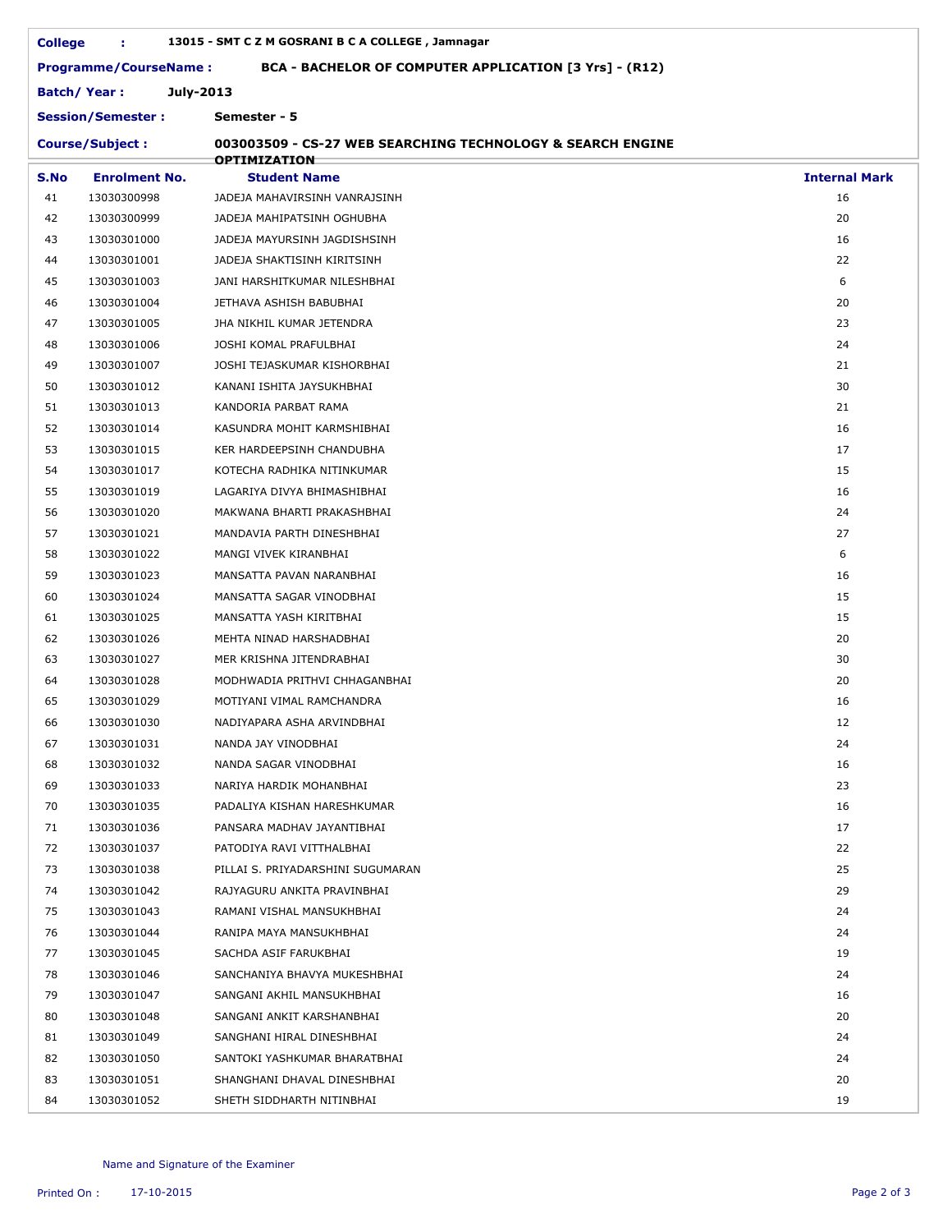| <b>College</b>                           | ÷.                           | 13015 - SMT C Z M GOSRANI B C A COLLEGE, Jamnagar          |                      |  |  |  |  |
|------------------------------------------|------------------------------|------------------------------------------------------------|----------------------|--|--|--|--|
|                                          | <b>Programme/CourseName:</b> | BCA - BACHELOR OF COMPUTER APPLICATION [3 Yrs] - (R12)     |                      |  |  |  |  |
| <b>Batch/Year:</b><br>July-2013          |                              |                                                            |                      |  |  |  |  |
| Semester - 5<br><b>Session/Semester:</b> |                              |                                                            |                      |  |  |  |  |
|                                          | <b>Course/Subject:</b>       | 003003509 - CS-27 WEB SEARCHING TECHNOLOGY & SEARCH ENGINE |                      |  |  |  |  |
|                                          |                              | <b>OPTIMIZATION</b>                                        |                      |  |  |  |  |
| S.No                                     | <b>Enrolment No.</b>         | <b>Student Name</b>                                        | <b>Internal Mark</b> |  |  |  |  |
| 41                                       | 13030300998                  | JADEJA MAHAVIRSINH VANRAJSINH                              | 16                   |  |  |  |  |
| 42                                       | 13030300999                  | JADEJA MAHIPATSINH OGHUBHA                                 | 20                   |  |  |  |  |
| 43                                       | 13030301000                  | JADEJA MAYURSINH JAGDISHSINH                               | 16                   |  |  |  |  |
| 44                                       | 13030301001                  | JADEJA SHAKTISINH KIRITSINH                                | 22                   |  |  |  |  |
| 45                                       | 13030301003                  | JANI HARSHITKUMAR NILESHBHAI                               | 6                    |  |  |  |  |
| 46                                       | 13030301004                  | JETHAVA ASHISH BABUBHAI                                    | 20                   |  |  |  |  |
| 47                                       | 13030301005                  | JHA NIKHIL KUMAR JETENDRA                                  | 23                   |  |  |  |  |
| 48                                       | 13030301006                  | JOSHI KOMAL PRAFULBHAI                                     | 24                   |  |  |  |  |
| 49                                       | 13030301007                  | JOSHI TEJASKUMAR KISHORBHAI                                | 21                   |  |  |  |  |
| 50                                       | 13030301012                  | KANANI ISHITA JAYSUKHBHAI                                  | 30                   |  |  |  |  |
| 51                                       | 13030301013                  | KANDORIA PARBAT RAMA                                       | 21                   |  |  |  |  |
| 52                                       | 13030301014                  | KASUNDRA MOHIT KARMSHIBHAI                                 | 16                   |  |  |  |  |
| 53                                       | 13030301015                  | KER HARDEEPSINH CHANDUBHA                                  | 17                   |  |  |  |  |
| 54                                       | 13030301017                  | KOTECHA RADHIKA NITINKUMAR                                 | 15                   |  |  |  |  |
| 55                                       | 13030301019                  | LAGARIYA DIVYA BHIMASHIBHAI                                | 16                   |  |  |  |  |
| 56                                       | 13030301020                  | MAKWANA BHARTI PRAKASHBHAI                                 | 24                   |  |  |  |  |
| 57                                       | 13030301021                  | MANDAVIA PARTH DINESHBHAI                                  | 27                   |  |  |  |  |
| 58                                       | 13030301022                  | MANGI VIVEK KIRANBHAI                                      | 6                    |  |  |  |  |
| 59                                       | 13030301023                  | MANSATTA PAVAN NARANBHAI                                   | 16                   |  |  |  |  |
| 60                                       | 13030301024                  | MANSATTA SAGAR VINODBHAI                                   | 15                   |  |  |  |  |
| 61                                       | 13030301025                  | MANSATTA YASH KIRITBHAI                                    | 15                   |  |  |  |  |
| 62                                       | 13030301026                  | MEHTA NINAD HARSHADBHAI                                    | 20                   |  |  |  |  |
| 63                                       | 13030301027                  | MER KRISHNA JITENDRABHAI                                   | 30                   |  |  |  |  |
| 64                                       | 13030301028                  | MODHWADIA PRITHVI CHHAGANBHAI                              | 20                   |  |  |  |  |
| 65                                       | 13030301029                  | MOTIYANI VIMAL RAMCHANDRA                                  | 16                   |  |  |  |  |
| 66                                       | 13030301030                  | NADIYAPARA ASHA ARVINDBHAI                                 | 12                   |  |  |  |  |
| 67                                       | 13030301031                  | NANDA JAY VINODBHAI                                        | 24                   |  |  |  |  |
| 68                                       | 13030301032                  | NANDA SAGAR VINODBHAI                                      | 16                   |  |  |  |  |
| 69                                       | 13030301033                  | NARIYA HARDIK MOHANBHAI                                    | 23                   |  |  |  |  |
| 70                                       | 13030301035                  | PADALIYA KISHAN HARESHKUMAR                                | 16                   |  |  |  |  |
| 71                                       | 13030301036                  | PANSARA MADHAV JAYANTIBHAI                                 | 17                   |  |  |  |  |
| 72                                       | 13030301037                  | PATODIYA RAVI VITTHALBHAI                                  | 22                   |  |  |  |  |
| 73                                       | 13030301038                  | PILLAI S. PRIYADARSHINI SUGUMARAN                          | 25                   |  |  |  |  |
| 74                                       | 13030301042                  | RAJYAGURU ANKITA PRAVINBHAI                                | 29                   |  |  |  |  |
| 75                                       | 13030301043                  | RAMANI VISHAL MANSUKHBHAI                                  | 24                   |  |  |  |  |
| 76                                       | 13030301044                  | RANIPA MAYA MANSUKHBHAI                                    | 24                   |  |  |  |  |
| 77                                       | 13030301045                  | SACHDA ASIF FARUKBHAI                                      | 19                   |  |  |  |  |
| 78                                       | 13030301046                  | SANCHANIYA BHAVYA MUKESHBHAI                               | 24                   |  |  |  |  |
| 79                                       | 13030301047                  | SANGANI AKHIL MANSUKHBHAI                                  | 16                   |  |  |  |  |
| 80                                       | 13030301048                  | SANGANI ANKIT KARSHANBHAI                                  | 20                   |  |  |  |  |
| 81                                       | 13030301049                  | SANGHANI HIRAL DINESHBHAI                                  | 24                   |  |  |  |  |
| 82                                       | 13030301050                  | SANTOKI YASHKUMAR BHARATBHAI                               | 24                   |  |  |  |  |
| 83                                       | 13030301051                  | SHANGHANI DHAVAL DINESHBHAI                                | 20                   |  |  |  |  |
| 84                                       | 13030301052                  | SHETH SIDDHARTH NITINBHAI                                  | 19                   |  |  |  |  |